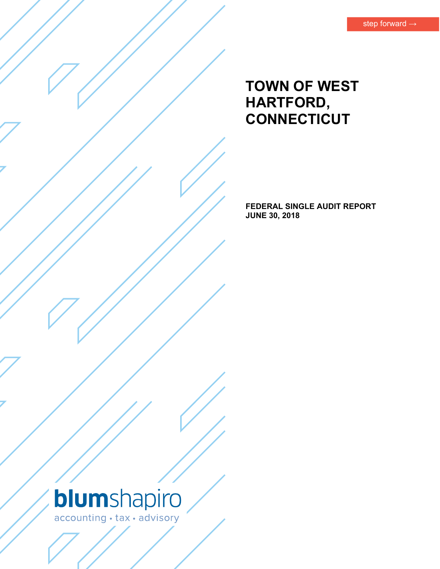# **TOWN OF WEST HARTFORD, CONNECTICUT**

**FEDERAL SINGLE AUDIT REPORT JUNE 30, 2018** 

# blumshapiro accounting · tax · advisory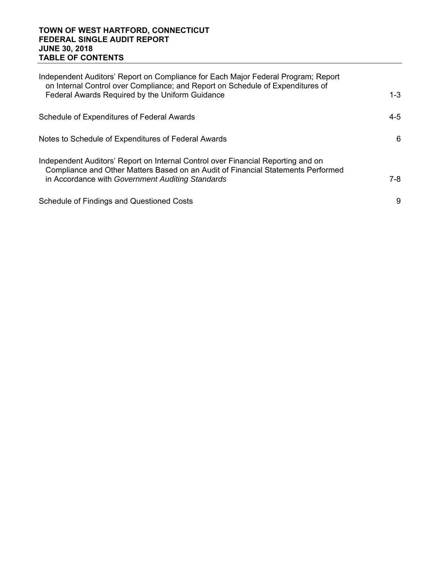# **TOWN OF WEST HARTFORD, CONNECTICUT FEDERAL SINGLE AUDIT REPORT JUNE 30, 2018 TABLE OF CONTENTS**

| Independent Auditors' Report on Compliance for Each Major Federal Program; Report<br>on Internal Control over Compliance; and Report on Schedule of Expenditures of                                                      |         |
|--------------------------------------------------------------------------------------------------------------------------------------------------------------------------------------------------------------------------|---------|
| Federal Awards Required by the Uniform Guidance                                                                                                                                                                          | $1 - 3$ |
| Schedule of Expenditures of Federal Awards                                                                                                                                                                               | $4 - 5$ |
| Notes to Schedule of Expenditures of Federal Awards                                                                                                                                                                      | 6       |
| Independent Auditors' Report on Internal Control over Financial Reporting and on<br>Compliance and Other Matters Based on an Audit of Financial Statements Performed<br>in Accordance with Government Auditing Standards | $7-8$   |
| <b>Schedule of Findings and Questioned Costs</b>                                                                                                                                                                         | 9       |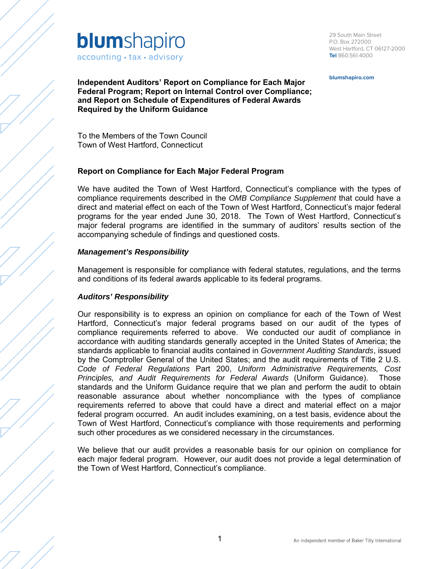

29 South Main Street P.O. Box 272000 West Hartford, CT 06127-2000 **Tel** 860.561.4000

**blumshapiro.com**

**Independent Auditors' Report on Compliance for Each Major Federal Program; Report on Internal Control over Compliance; and Report on Schedule of Expenditures of Federal Awards Required by the Uniform Guidance** 

To the Members of the Town Council Town of West Hartford, Connecticut

# **Report on Compliance for Each Major Federal Program**

We have audited the Town of West Hartford, Connecticut's compliance with the types of compliance requirements described in the *OMB Compliance Supplement* that could have a direct and material effect on each of the Town of West Hartford, Connecticut's major federal programs for the year ended June 30, 2018. The Town of West Hartford, Connecticut's major federal programs are identified in the summary of auditors' results section of the accompanying schedule of findings and questioned costs.

#### *Management's Responsibility*

Management is responsible for compliance with federal statutes, regulations, and the terms and conditions of its federal awards applicable to its federal programs.

#### *Auditors' Responsibility*

Our responsibility is to express an opinion on compliance for each of the Town of West Hartford, Connecticut's major federal programs based on our audit of the types of compliance requirements referred to above. We conducted our audit of compliance in accordance with auditing standards generally accepted in the United States of America; the standards applicable to financial audits contained in *Government Auditing Standards*, issued by the Comptroller General of the United States; and the audit requirements of Title 2 U.S. *Code of Federal Regulations* Part 200, *Uniform Administrative Requirements, Cost Principles, and Audit Requirements for Federal Awards* (Uniform Guidance). Those standards and the Uniform Guidance require that we plan and perform the audit to obtain reasonable assurance about whether noncompliance with the types of compliance requirements referred to above that could have a direct and material effect on a major federal program occurred. An audit includes examining, on a test basis, evidence about the Town of West Hartford, Connecticut's compliance with those requirements and performing such other procedures as we considered necessary in the circumstances.

We believe that our audit provides a reasonable basis for our opinion on compliance for each major federal program. However, our audit does not provide a legal determination of the Town of West Hartford, Connecticut's compliance.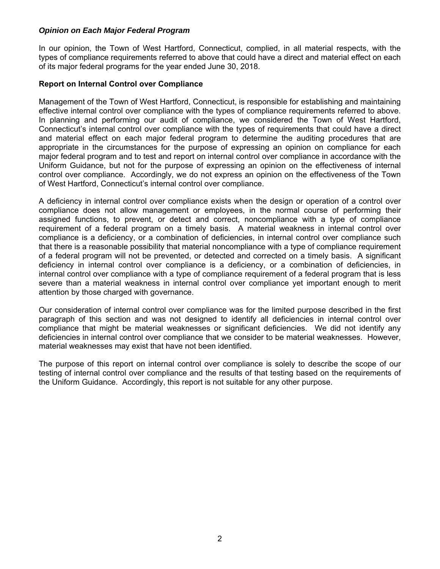# *Opinion on Each Major Federal Program*

In our opinion, the Town of West Hartford, Connecticut, complied, in all material respects, with the types of compliance requirements referred to above that could have a direct and material effect on each of its major federal programs for the year ended June 30, 2018.

#### **Report on Internal Control over Compliance**

Management of the Town of West Hartford, Connecticut, is responsible for establishing and maintaining effective internal control over compliance with the types of compliance requirements referred to above. In planning and performing our audit of compliance, we considered the Town of West Hartford, Connecticut's internal control over compliance with the types of requirements that could have a direct and material effect on each major federal program to determine the auditing procedures that are appropriate in the circumstances for the purpose of expressing an opinion on compliance for each major federal program and to test and report on internal control over compliance in accordance with the Uniform Guidance, but not for the purpose of expressing an opinion on the effectiveness of internal control over compliance. Accordingly, we do not express an opinion on the effectiveness of the Town of West Hartford, Connecticut's internal control over compliance.

A deficiency in internal control over compliance exists when the design or operation of a control over compliance does not allow management or employees, in the normal course of performing their assigned functions, to prevent, or detect and correct, noncompliance with a type of compliance requirement of a federal program on a timely basis. A material weakness in internal control over compliance is a deficiency, or a combination of deficiencies, in internal control over compliance such that there is a reasonable possibility that material noncompliance with a type of compliance requirement of a federal program will not be prevented, or detected and corrected on a timely basis. A significant deficiency in internal control over compliance is a deficiency, or a combination of deficiencies, in internal control over compliance with a type of compliance requirement of a federal program that is less severe than a material weakness in internal control over compliance yet important enough to merit attention by those charged with governance.

Our consideration of internal control over compliance was for the limited purpose described in the first paragraph of this section and was not designed to identify all deficiencies in internal control over compliance that might be material weaknesses or significant deficiencies. We did not identify any deficiencies in internal control over compliance that we consider to be material weaknesses. However, material weaknesses may exist that have not been identified.

The purpose of this report on internal control over compliance is solely to describe the scope of our testing of internal control over compliance and the results of that testing based on the requirements of the Uniform Guidance. Accordingly, this report is not suitable for any other purpose.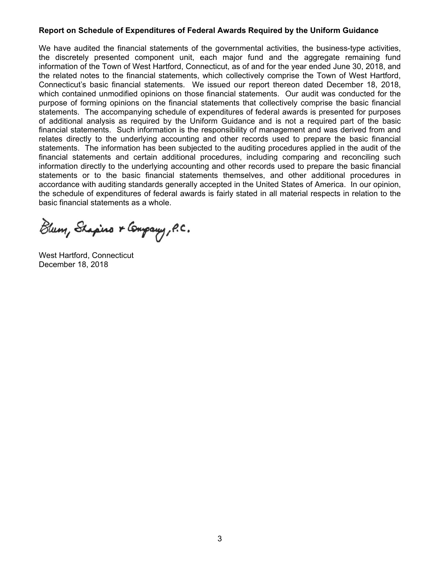#### **Report on Schedule of Expenditures of Federal Awards Required by the Uniform Guidance**

We have audited the financial statements of the governmental activities, the business-type activities, the discretely presented component unit, each major fund and the aggregate remaining fund information of the Town of West Hartford, Connecticut, as of and for the year ended June 30, 2018, and the related notes to the financial statements, which collectively comprise the Town of West Hartford, Connecticut's basic financial statements. We issued our report thereon dated December 18, 2018, which contained unmodified opinions on those financial statements. Our audit was conducted for the purpose of forming opinions on the financial statements that collectively comprise the basic financial statements. The accompanying schedule of expenditures of federal awards is presented for purposes of additional analysis as required by the Uniform Guidance and is not a required part of the basic financial statements. Such information is the responsibility of management and was derived from and relates directly to the underlying accounting and other records used to prepare the basic financial statements. The information has been subjected to the auditing procedures applied in the audit of the financial statements and certain additional procedures, including comparing and reconciling such information directly to the underlying accounting and other records used to prepare the basic financial statements or to the basic financial statements themselves, and other additional procedures in accordance with auditing standards generally accepted in the United States of America. In our opinion, the schedule of expenditures of federal awards is fairly stated in all material respects in relation to the basic financial statements as a whole.

Blum, Shapino & Company, P.C.

West Hartford, Connecticut December 18, 2018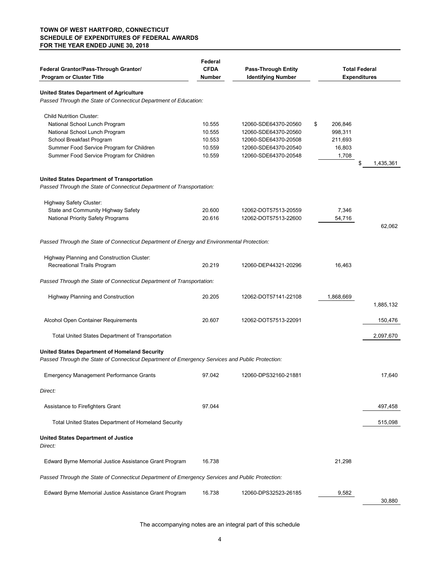#### **TOWN OF WEST HARTFORD, CONNECTICUT SCHEDULE OF EXPENDITURES OF FEDERAL AWARDS FOR THE YEAR ENDED JUNE 30, 2018**

| Federal Grantor/Pass-Through Grantor/<br><b>Program or Cluster Title</b>                                                                         | Federal<br><b>CFDA</b><br>Number | <b>Pass-Through Entity</b><br><b>Identifying Number</b> | <b>Total Federal</b><br><b>Expenditures</b> |                 |
|--------------------------------------------------------------------------------------------------------------------------------------------------|----------------------------------|---------------------------------------------------------|---------------------------------------------|-----------------|
| <b>United States Department of Agriculture</b>                                                                                                   |                                  |                                                         |                                             |                 |
| Passed Through the State of Connecticut Department of Education:                                                                                 |                                  |                                                         |                                             |                 |
| <b>Child Nutrition Cluster:</b>                                                                                                                  |                                  |                                                         |                                             |                 |
| National School Lunch Program                                                                                                                    | 10.555                           | 12060-SDE64370-20560                                    | \$<br>206,846                               |                 |
| National School Lunch Program                                                                                                                    | 10.555                           | 12060-SDE64370-20560                                    | 998,311                                     |                 |
| School Breakfast Program<br>Summer Food Service Program for Children                                                                             | 10.553<br>10.559                 | 12060-SDE64370-20508<br>12060-SDE64370-20540            | 211,693<br>16,803                           |                 |
| Summer Food Service Program for Children                                                                                                         | 10.559                           | 12060-SDE64370-20548                                    | 1,708                                       |                 |
|                                                                                                                                                  |                                  |                                                         |                                             | \$<br>1,435,361 |
| United States Department of Transportation                                                                                                       |                                  |                                                         |                                             |                 |
| Passed Through the State of Connecticut Department of Transportation:                                                                            |                                  |                                                         |                                             |                 |
| <b>Highway Safety Cluster:</b>                                                                                                                   |                                  |                                                         |                                             |                 |
| State and Community Highway Safety                                                                                                               | 20.600                           | 12062-DOT57513-20559                                    | 7,346                                       |                 |
| National Priority Safety Programs                                                                                                                | 20.616                           | 12062-DOT57513-22600                                    | 54,716                                      | 62,062          |
| Passed Through the State of Connecticut Department of Energy and Environmental Protection:                                                       |                                  |                                                         |                                             |                 |
| Highway Planning and Construction Cluster:                                                                                                       |                                  |                                                         |                                             |                 |
| Recreational Trails Program                                                                                                                      | 20.219                           | 12060-DEP44321-20296                                    | 16,463                                      |                 |
| Passed Through the State of Connecticut Department of Transportation:                                                                            |                                  |                                                         |                                             |                 |
| <b>Highway Planning and Construction</b>                                                                                                         | 20.205                           | 12062-DOT57141-22108                                    | 1,868,669                                   |                 |
|                                                                                                                                                  |                                  |                                                         |                                             | 1,885,132       |
| Alcohol Open Container Requirements                                                                                                              | 20.607                           | 12062-DOT57513-22091                                    |                                             | 150,476         |
| Total United States Department of Transportation                                                                                                 |                                  |                                                         |                                             | 2,097,670       |
| United States Department of Homeland Security<br>Passed Through the State of Connecticut Department of Emergency Services and Public Protection: |                                  |                                                         |                                             |                 |
| <b>Emergency Management Performance Grants</b>                                                                                                   | 97.042                           | 12060-DPS32160-21881                                    |                                             | 17,640          |
| Direct:                                                                                                                                          |                                  |                                                         |                                             |                 |
| Assistance to Firefighters Grant                                                                                                                 | 97.044                           |                                                         |                                             | 497,458         |
| <b>Total United States Department of Homeland Security</b>                                                                                       |                                  |                                                         |                                             | 515,098         |
| <b>United States Department of Justice</b><br>Direct:                                                                                            |                                  |                                                         |                                             |                 |
| Edward Byrne Memorial Justice Assistance Grant Program                                                                                           | 16.738                           |                                                         | 21,298                                      |                 |
| Passed Through the State of Connecticut Department of Emergency Services and Public Protection:                                                  |                                  |                                                         |                                             |                 |
| Edward Byrne Memorial Justice Assistance Grant Program                                                                                           | 16.738                           | 12060-DPS32523-26185                                    | 9,582                                       | 30,880          |

The accompanying notes are an integral part of this schedule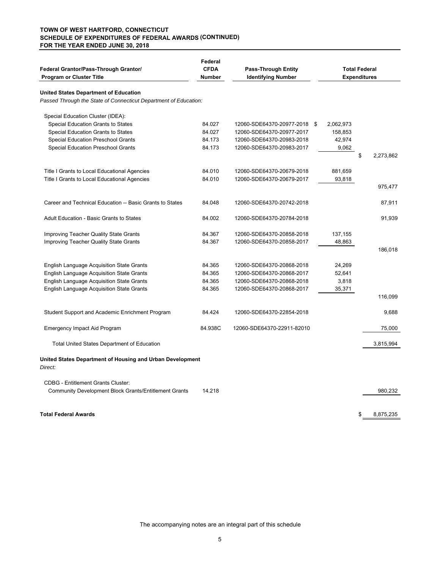#### **(CONTINUED) SCHEDULE OF EXPENDITURES OF FEDERAL AWARDS TOWN OF WEST HARTFORD, CONNECTICUT FOR THE YEAR ENDED JUNE 30, 2018**

| Federal Grantor/Pass-Through Grantor/<br><b>Program or Cluster Title</b> | Federal<br><b>CFDA</b><br><b>Number</b> | <b>Pass-Through Entity</b><br><b>Identifying Number</b> | <b>Total Federal</b><br><b>Expenditures</b> |                 |  |  |
|--------------------------------------------------------------------------|-----------------------------------------|---------------------------------------------------------|---------------------------------------------|-----------------|--|--|
| <b>United States Department of Education</b>                             |                                         |                                                         |                                             |                 |  |  |
| Passed Through the State of Connecticut Department of Education:         |                                         |                                                         |                                             |                 |  |  |
| Special Education Cluster (IDEA):                                        |                                         |                                                         |                                             |                 |  |  |
| Special Education Grants to States                                       | 84.027                                  | 12060-SDE64370-20977-2018 \$                            | 2,062,973                                   |                 |  |  |
| Special Education Grants to States                                       | 84.027                                  | 12060-SDE64370-20977-2017                               | 158,853                                     |                 |  |  |
| <b>Special Education Preschool Grants</b>                                | 84.173                                  | 12060-SDE64370-20983-2018                               | 42,974                                      |                 |  |  |
| Special Education Preschool Grants                                       | 84.173                                  | 12060-SDE64370-20983-2017                               | 9,062                                       |                 |  |  |
|                                                                          |                                         |                                                         |                                             | \$<br>2,273,862 |  |  |
| Title I Grants to Local Educational Agencies                             | 84.010                                  | 12060-SDE64370-20679-2018                               | 881,659                                     |                 |  |  |
| Title I Grants to Local Educational Agencies                             | 84.010                                  | 12060-SDE64370-20679-2017                               | 93,818                                      |                 |  |  |
|                                                                          |                                         |                                                         |                                             | 975,477         |  |  |
| Career and Technical Education -- Basic Grants to States                 | 84.048                                  | 12060-SDE64370-20742-2018                               |                                             | 87,911          |  |  |
| <b>Adult Education - Basic Grants to States</b>                          | 84.002                                  | 12060-SDE64370-20784-2018                               |                                             | 91,939          |  |  |
| Improving Teacher Quality State Grants                                   | 84.367                                  | 12060-SDE64370-20858-2018                               | 137,155                                     |                 |  |  |
| Improving Teacher Quality State Grants                                   | 84.367                                  | 12060-SDE64370-20858-2017                               | 48,863                                      |                 |  |  |
|                                                                          |                                         |                                                         |                                             | 186.018         |  |  |
| <b>English Language Acquisition State Grants</b>                         | 84.365                                  | 12060-SDE64370-20868-2018                               | 24,269                                      |                 |  |  |
| English Language Acquisition State Grants                                | 84.365                                  | 12060-SDE64370-20868-2017                               | 52,641                                      |                 |  |  |
| English Language Acquisition State Grants                                | 84.365                                  | 12060-SDE64370-20868-2018                               | 3,818                                       |                 |  |  |
| <b>English Language Acquisition State Grants</b>                         | 84.365                                  | 12060-SDE64370-20868-2017                               | 35,371                                      |                 |  |  |
|                                                                          |                                         |                                                         |                                             | 116,099         |  |  |
| Student Support and Academic Enrichment Program                          | 84.424                                  | 12060-SDE64370-22854-2018                               |                                             | 9,688           |  |  |
| Emergency Impact Aid Program                                             | 84.938C                                 | 12060-SDE64370-22911-82010                              |                                             | 75,000          |  |  |
| <b>Total United States Department of Education</b>                       |                                         |                                                         |                                             | 3,815,994       |  |  |
| United States Department of Housing and Urban Development<br>Direct:     |                                         |                                                         |                                             |                 |  |  |
| <b>CDBG</b> - Entitlement Grants Cluster:                                |                                         |                                                         |                                             |                 |  |  |
| <b>Community Development Block Grants/Entitlement Grants</b>             | 14.218                                  |                                                         |                                             | 980,232         |  |  |
| <b>Total Federal Awards</b>                                              |                                         |                                                         |                                             | 8,875,235<br>\$ |  |  |
|                                                                          |                                         |                                                         |                                             |                 |  |  |

The accompanying notes are an integral part of this schedule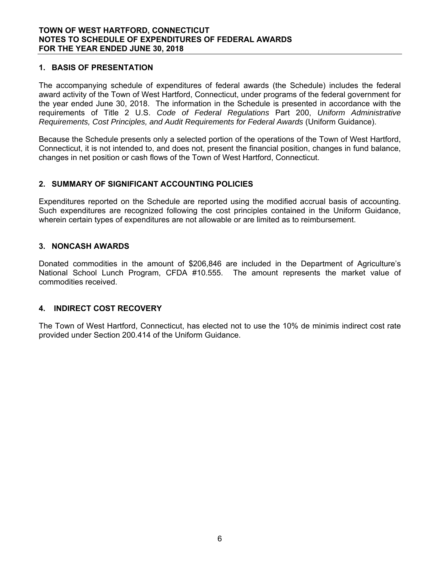# **1. BASIS OF PRESENTATION**

The accompanying schedule of expenditures of federal awards (the Schedule) includes the federal award activity of the Town of West Hartford, Connecticut, under programs of the federal government for the year ended June 30, 2018. The information in the Schedule is presented in accordance with the requirements of Title 2 U.S. *Code of Federal Regulations* Part 200, *Uniform Administrative Requirements, Cost Principles, and Audit Requirements for Federal Awards* (Uniform Guidance).

Because the Schedule presents only a selected portion of the operations of the Town of West Hartford, Connecticut, it is not intended to, and does not, present the financial position, changes in fund balance, changes in net position or cash flows of the Town of West Hartford, Connecticut.

# **2. SUMMARY OF SIGNIFICANT ACCOUNTING POLICIES**

Expenditures reported on the Schedule are reported using the modified accrual basis of accounting. Such expenditures are recognized following the cost principles contained in the Uniform Guidance, wherein certain types of expenditures are not allowable or are limited as to reimbursement.

# **3. NONCASH AWARDS**

Donated commodities in the amount of \$206,846 are included in the Department of Agriculture's National School Lunch Program, CFDA #10.555. The amount represents the market value of commodities received.

# **4. INDIRECT COST RECOVERY**

The Town of West Hartford, Connecticut, has elected not to use the 10% de minimis indirect cost rate provided under Section 200.414 of the Uniform Guidance.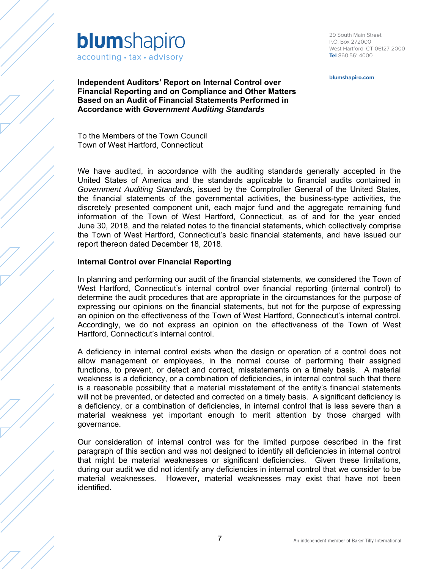

29 South Main Street P.O. Box 272000 West Hartford, CT 06127-2000 **Tel** 860.561.4000

**blumshapiro.com**

**Independent Auditors' Report on Internal Control over Financial Reporting and on Compliance and Other Matters Based on an Audit of Financial Statements Performed in Accordance with** *Government Auditing Standards*

To the Members of the Town Council Town of West Hartford, Connecticut

We have audited, in accordance with the auditing standards generally accepted in the United States of America and the standards applicable to financial audits contained in *Government Auditing Standards*, issued by the Comptroller General of the United States, the financial statements of the governmental activities, the business-type activities, the discretely presented component unit, each major fund and the aggregate remaining fund information of the Town of West Hartford, Connecticut, as of and for the year ended June 30, 2018, and the related notes to the financial statements, which collectively comprise the Town of West Hartford, Connecticut's basic financial statements, and have issued our report thereon dated December 18, 2018.

#### **Internal Control over Financial Reporting**

In planning and performing our audit of the financial statements, we considered the Town of West Hartford, Connecticut's internal control over financial reporting (internal control) to determine the audit procedures that are appropriate in the circumstances for the purpose of expressing our opinions on the financial statements, but not for the purpose of expressing an opinion on the effectiveness of the Town of West Hartford, Connecticut's internal control. Accordingly, we do not express an opinion on the effectiveness of the Town of West Hartford, Connecticut's internal control.

A deficiency in internal control exists when the design or operation of a control does not allow management or employees, in the normal course of performing their assigned functions, to prevent, or detect and correct, misstatements on a timely basis. A material weakness is a deficiency, or a combination of deficiencies, in internal control such that there is a reasonable possibility that a material misstatement of the entity's financial statements will not be prevented, or detected and corrected on a timely basis. A significant deficiency is a deficiency, or a combination of deficiencies, in internal control that is less severe than a material weakness yet important enough to merit attention by those charged with governance.

Our consideration of internal control was for the limited purpose described in the first paragraph of this section and was not designed to identify all deficiencies in internal control that might be material weaknesses or significant deficiencies. Given these limitations, during our audit we did not identify any deficiencies in internal control that we consider to be material weaknesses. However, material weaknesses may exist that have not been identified.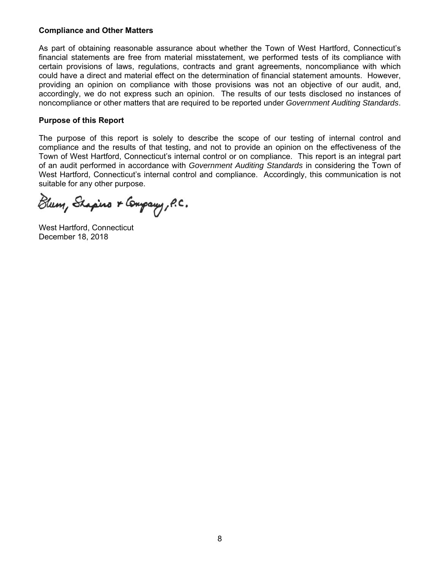# **Compliance and Other Matters**

As part of obtaining reasonable assurance about whether the Town of West Hartford, Connecticut's financial statements are free from material misstatement, we performed tests of its compliance with certain provisions of laws, regulations, contracts and grant agreements, noncompliance with which could have a direct and material effect on the determination of financial statement amounts. However, providing an opinion on compliance with those provisions was not an objective of our audit, and, accordingly, we do not express such an opinion. The results of our tests disclosed no instances of noncompliance or other matters that are required to be reported under *Government Auditing Standards*.

# **Purpose of this Report**

The purpose of this report is solely to describe the scope of our testing of internal control and compliance and the results of that testing, and not to provide an opinion on the effectiveness of the Town of West Hartford, Connecticut's internal control or on compliance. This report is an integral part of an audit performed in accordance with *Government Auditing Standards* in considering the Town of West Hartford, Connecticut's internal control and compliance. Accordingly, this communication is not suitable for any other purpose.

Blum, Shapino & Company, P.C.

West Hartford, Connecticut December 18, 2018